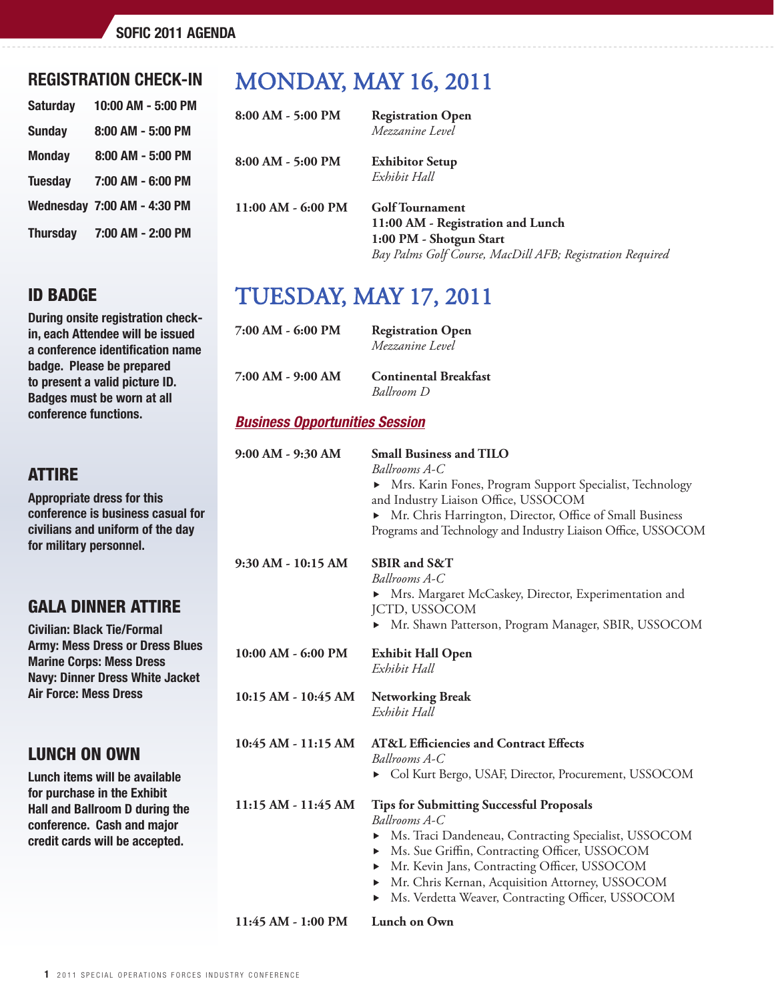## REGISTRATION CHECK-IN

| <b>Saturday</b> | 10:00 AM - 5:00 PM                 |
|-----------------|------------------------------------|
| <b>Sunday</b>   | 8:00 AM - 5:00 PM                  |
| <b>Monday</b>   | 8:00 AM - 5:00 PM                  |
| <b>Tuesday</b>  | 7:00 AM - 6:00 PM                  |
|                 | <b>Wednesday 7:00 AM - 4:30 PM</b> |
|                 | Thursday 7:00 AM - 2:00 PM         |

## id badge

During onsite registration checkin, each Attendee will be issued a conference identification name badge. Please be prepared to present a valid picture ID. Badges must be worn at all conference functions.

# **ATTIRE**

Appropriate dress for this conference is business casual for civilians and uniform of the day for military personnel.

# gala dinner attire

Civilian: Black Tie/Formal Army: Mess Dress or Dress Blues Marine Corps: Mess Dress Navy: Dinner Dress White Jacket Air Force: Mess Dress

## lunch on own

Lunch items will be available for purchase in the Exhibit Hall and Ballroom D during the conference. Cash and major credit cards will be accepted.

# monday, may 16, 2011

| 8:00 AM - 5:00 PM    | <b>Registration Open</b><br>Mezzanine Level                                                                                                  |
|----------------------|----------------------------------------------------------------------------------------------------------------------------------------------|
| 8:00 AM - 5:00 PM    | <b>Exhibitor Setup</b><br>Exhibit Hall                                                                                                       |
| $11:00$ AM - 6:00 PM | Golf Tournament<br>11:00 AM - Registration and Lunch<br>1:00 PM - Shotgun Start<br>Bay Palms Golf Course, MacDill AFB; Registration Required |

# tuesday, may 17, 2011

| 7:00 AM - 6:00 PM | <b>Registration Open</b><br>Mezzanine Level       |
|-------------------|---------------------------------------------------|
| 7:00 AM - 9:00 AM | <b>Continental Breakfast</b><br><b>Ballroom</b> D |

#### *Business Opportunities Session*

| 9:00 AM - 9:30 AM   | <b>Small Business and TILO</b><br>Ballrooms A-C                                                                                                                                                                                                                                                                                                       |
|---------------------|-------------------------------------------------------------------------------------------------------------------------------------------------------------------------------------------------------------------------------------------------------------------------------------------------------------------------------------------------------|
|                     | • Mrs. Karin Fones, Program Support Specialist, Technology<br>and Industry Liaison Office, USSOCOM                                                                                                                                                                                                                                                    |
|                     | • Mr. Chris Harrington, Director, Office of Small Business<br>Programs and Technology and Industry Liaison Office, USSOCOM                                                                                                                                                                                                                            |
| 9:30 AM - 10:15 AM  | SBIR and S&T<br>Ballrooms A-C<br>▶ Mrs. Margaret McCaskey, Director, Experimentation and<br><b>JCTD, USSOCOM</b><br>Mr. Shawn Patterson, Program Manager, SBIR, USSOCOM                                                                                                                                                                               |
| 10:00 AM - 6:00 PM  | <b>Exhibit Hall Open</b><br>Exhibit Hall                                                                                                                                                                                                                                                                                                              |
| 10:15 AM - 10:45 AM | <b>Networking Break</b><br>Exhibit Hall                                                                                                                                                                                                                                                                                                               |
| 10:45 AM - 11:15 AM | <b>AT&amp;L Efficiencies and Contract Effects</b><br>Ballrooms A-C<br>• Col Kurt Bergo, USAF, Director, Procurement, USSOCOM                                                                                                                                                                                                                          |
| 11:15 AM - 11:45 AM | <b>Tips for Submitting Successful Proposals</b><br>Ballrooms A-C<br>Ms. Traci Dandeneau, Contracting Specialist, USSOCOM<br>▶<br>Ms. Sue Griffin, Contracting Officer, USSOCOM<br>▶<br>Mr. Kevin Jans, Contracting Officer, USSOCOM<br>▶<br>Mr. Chris Kernan, Acquisition Attorney, USSOCOM<br>Ms. Verdetta Weaver, Contracting Officer, USSOCOM<br>▶ |
| 11:45 AM - 1:00 PM  | <b>Lunch on Own</b>                                                                                                                                                                                                                                                                                                                                   |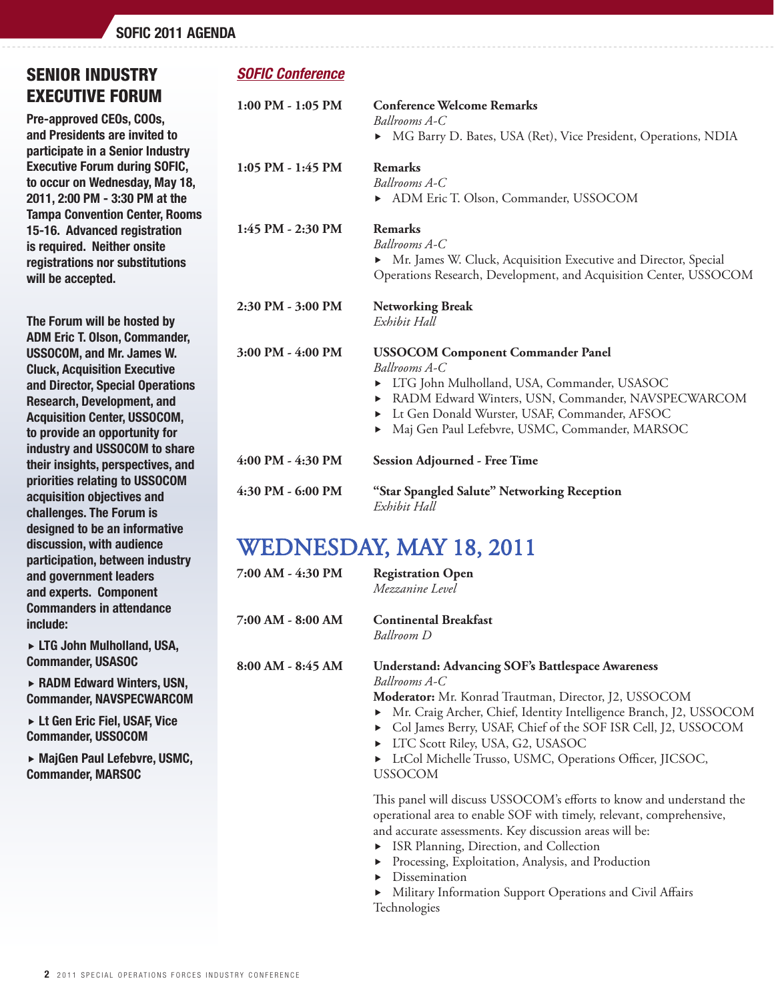# SENIOR INDUSTRY EXECUTIVE FORUM

Pre-approved CEOs, COOs, and Presidents are invited to participate in a Senior Industry Executive Forum during SOFIC, to occur on Wednesday, May 18, 2011, 2:00 PM - 3:30 PM at the Tampa Convention Center, Rooms 15-16. Advanced registration is required. Neither onsite registrations nor substitutions will be accepted.

The Forum will be hosted by ADM Eric T. Olson, Commander, USSOCOM, and Mr. James W. Cluck, Acquisition Executive and Director, Special Operations Research, Development, and Acquisition Center, USSOCOM, to provide an opportunity for industry and USSOCOM to share their insights, perspectives, and priorities relating to USSOCOM acquisition objectives and challenges. The Forum is designed to be an informative discussion, with audience participation, between industry and government leaders and experts. Component Commanders in attendance include:

 LTG John Mulholland, USA, Commander, USASOC

► RADM Edward Winters, USN, Commander, NAVSPECWARCOM

 Lt Gen Eric Fiel, USAF, Vice Commander, USSOCOM

► MajGen Paul Lefebvre, USMC, Commander, MARSOC

## *SOFIC Conference*

| $1:00$ PM - $1:05$ PM | <b>Conference Welcome Remarks</b><br>Ballrooms A-C<br>• MG Barry D. Bates, USA (Ret), Vice President, Operations, NDIA                                                                                                                                                           |
|-----------------------|----------------------------------------------------------------------------------------------------------------------------------------------------------------------------------------------------------------------------------------------------------------------------------|
| $1:05$ PM - $1:45$ PM | <b>Remarks</b><br>Ballrooms A-C<br>ADM Eric T. Olson, Commander, USSOCOM                                                                                                                                                                                                         |
| 1:45 PM - 2:30 PM     | Remarks<br>Ballrooms A-C<br>• Mr. James W. Cluck, Acquisition Executive and Director, Special<br>Operations Research, Development, and Acquisition Center, USSOCOM                                                                                                               |
| 2:30 PM - 3:00 PM     | <b>Networking Break</b><br>Exhibit Hall                                                                                                                                                                                                                                          |
| $3:00$ PM $- 4:00$ PM | <b>USSOCOM Component Commander Panel</b><br>Ballrooms A-C<br>LTG John Mulholland, USA, Commander, USASOC<br>▶<br>RADM Edward Winters, USN, Commander, NAVSPECWARCOM<br>Lt Gen Donald Wurster, USAF, Commander, AFSOC<br>▶<br>Maj Gen Paul Lefebvre, USMC, Commander, MARSOC<br>▶ |
| 4:00 PM - 4:30 PM     | <b>Session Adjourned - Free Time</b>                                                                                                                                                                                                                                             |
| 4:30 PM - 6:00 PM     | "Star Spangled Salute" Networking Reception<br>Exhibit Hall                                                                                                                                                                                                                      |

# WEDNESDAY, MAY 18, 2011

| 7:00 AM - 4:30 PM | <b>Registration Open</b><br>Mezzanine Level                                                                                                                                                                                                                                                                                                                                                |
|-------------------|--------------------------------------------------------------------------------------------------------------------------------------------------------------------------------------------------------------------------------------------------------------------------------------------------------------------------------------------------------------------------------------------|
| 7:00 AM - 8:00 AM | <b>Continental Breakfast</b><br>Ballroom D                                                                                                                                                                                                                                                                                                                                                 |
| 8:00 AM - 8:45 AM | <b>Understand: Advancing SOF's Battlespace Awareness</b><br>Ballrooms A-C<br>Moderator: Mr. Konrad Trautman, Director, J2, USSOCOM<br>• Mr. Craig Archer, Chief, Identity Intelligence Branch, J2, USSOCOM<br>Col James Berry, USAF, Chief of the SOF ISR Cell, J2, USSOCOM<br>► LTC Scott Riley, USA, G2, USASOC<br>• LtCol Michelle Trusso, USMC, Operations Officer, JICSOC,<br>USSOCOM |
|                   | This panel will discuss USSOCOM's efforts to know and understand the<br>operational area to enable SOF with timely, relevant, comprehensive,<br>and accurate assessments. Key discussion areas will be:<br>$\mathbb{R}^n$ in the $\mathbb{R}^n$ in the $\mathbb{R}^n$                                                                                                                      |

- ISR Planning, Direction, and Collection
- Processing, Exploitation, Analysis, and Production
- **Dissemination**
- Military Information Support Operations and Civil Affairs Technologies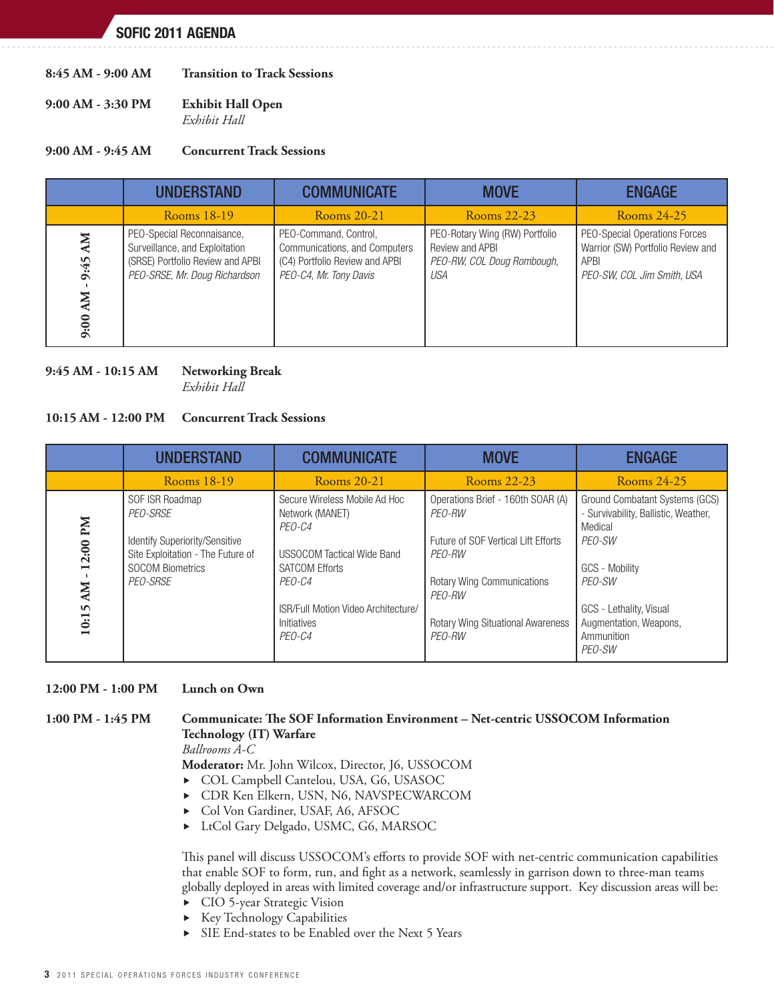- **8:45 AM 9:00 AM Transition to Track Sessions**
- **9:00 AM 3:30 PM Exhibit Hall Open** *Exhibit Hall*

#### **9:00 AM - 9:45 AM Concurrent Track Sessions**

|                                        | <b>UNDERSTAND</b>                                                                                                                 | <b>COMMUNICATE</b>                                                                                                 | <b>MOVE</b>                                                                            | <b>ENGAGE</b>                                                                                            |
|----------------------------------------|-----------------------------------------------------------------------------------------------------------------------------------|--------------------------------------------------------------------------------------------------------------------|----------------------------------------------------------------------------------------|----------------------------------------------------------------------------------------------------------|
|                                        | Rooms 18-19                                                                                                                       | Rooms 20-21                                                                                                        | Rooms 22-23                                                                            | Rooms 24-25                                                                                              |
| <b>NN</b><br>9:45<br><b>NV</b><br>9:00 | PEO-Special Reconnaisance,<br>Surveillance, and Exploitation<br>(SRSE) Portfolio Review and APBI<br>PEO-SRSE, Mr. Doug Richardson | PEO-Command, Control.<br>Communications, and Computers<br>(C4) Portfolio Review and APBI<br>PEO-C4, Mr. Tony Davis | PEO-Rotary Wing (RW) Portfolio<br>Review and APBI<br>PEO-RW, COL Doug Rombough,<br>USA | PEO-Special Operations Forces<br>Warrior (SW) Portfolio Review and<br>APBI<br>PEO-SW, COL Jim Smith, USA |

#### **9:45 AM - 10:15 AM Networking Break**

*Exhibit Hall*

#### **10:15 AM - 12:00 PM Concurrent Track Sessions**

|                                | <b>UNDERSTAND</b>                                                                                                                         | <b>COMMUNICATE</b>                                                                                                                                                                                 | <b>MOVE</b>                                                                                                                                                                                       | <b>ENGAGE</b>                                                                                                                                                                                        |
|--------------------------------|-------------------------------------------------------------------------------------------------------------------------------------------|----------------------------------------------------------------------------------------------------------------------------------------------------------------------------------------------------|---------------------------------------------------------------------------------------------------------------------------------------------------------------------------------------------------|------------------------------------------------------------------------------------------------------------------------------------------------------------------------------------------------------|
|                                | Rooms 18-19                                                                                                                               | Rooms 20-21                                                                                                                                                                                        | Rooms 22-23                                                                                                                                                                                       | Rooms 24-25                                                                                                                                                                                          |
| 12:00 PM<br><b>AM</b><br>10:15 | SOF ISR Roadmap<br>PEO-SRSE<br>Identify Superiority/Sensitive<br>Site Exploitation - The Future of<br><b>SOCOM Biometrics</b><br>PEO-SRSE | Secure Wireless Mobile Ad Hoc<br>Network (MANET)<br>PEO-C4<br><b>USSOCOM Tactical Wide Band</b><br><b>SATCOM Efforts</b><br>PEO-C4<br>ISR/Full Motion Video Architecture/<br>Initiatives<br>PEO-C4 | Operations Brief - 160th SOAR (A)<br>PEO-RW<br>Future of SOF Vertical Lift Efforts<br>PEO-RW<br><b>Rotary Wing Communications</b><br>PEO-RW<br><b>Rotary Wing Situational Awareness</b><br>PEO-RW | Ground Combatant Systems (GCS)<br>- Survivability, Ballistic, Weather,<br>Medical<br>PEO-SW<br>GCS - Mobility<br>PEO-SW<br>GCS - Lethality, Visual<br>Augmentation, Weapons,<br>Ammunition<br>PEO-SW |

#### **12:00 PM - 1:00 PM Lunch on Own**

## **1:00 PM - 1:45 PM Communicate: The SOF Information Environment – Net-centric USSOCOM Information Technology (IT) Warfare**

*Ballrooms A-C*

 **Moderator:** Mr. John Wilcox, Director, J6, USSOCOM

- ▶ COL Campbell Cantelou, USA, G6, USASOC
- CDR Ken Elkern, USN, N6, NAVSPECWARCOM
- Col Von Gardiner, USAF, A6, AFSOC
- LtCol Gary Delgado, USMC, G6, MARSOC

This panel will discuss USSOCOM's efforts to provide SOF with net-centric communication capabilities that enable SOF to form, run, and fight as a network, seamlessly in garrison down to three-man teams globally deployed in areas with limited coverage and/or infrastructure support. Key discussion areas will be:

- ▶ CIO 5-year Strategic Vision
- Key Technology Capabilities
- SIE End-states to be Enabled over the Next 5 Years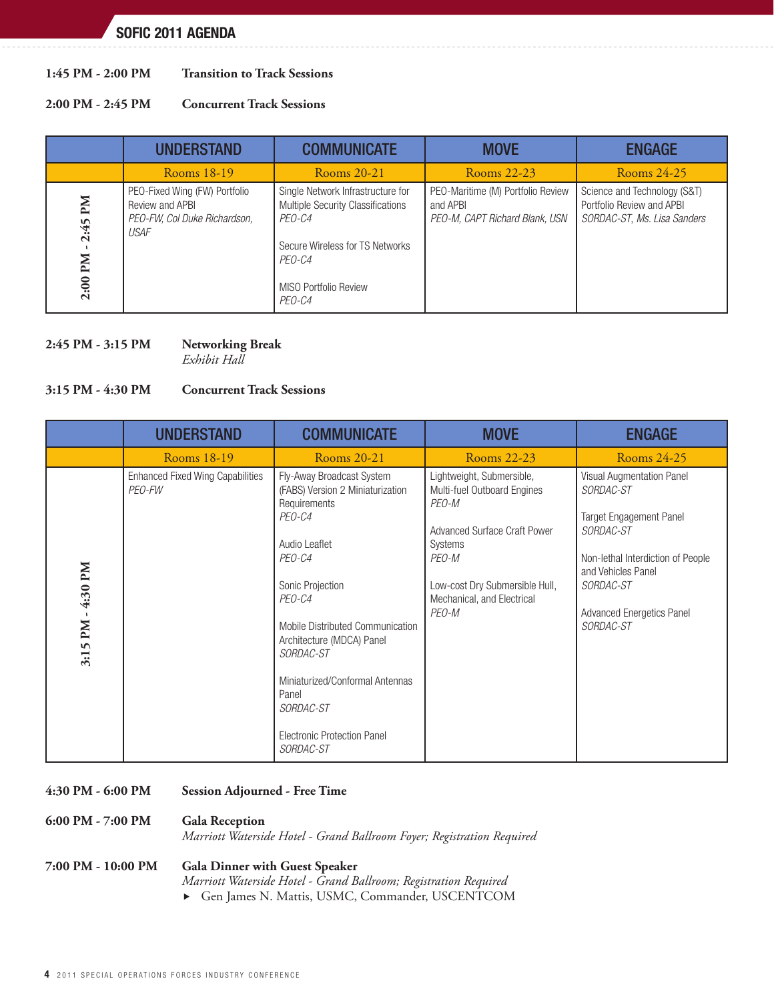#### **1:45 PM - 2:00 PM Transition to Track Sessions**

#### **2:00 PM - 2:45 PM Concurrent Track Sessions**

|                          | <b>UNDERSTAND</b>                                                                               | <b>COMMUNICATE</b>                                                                                                                                                      | <b>MOVE</b>                                                                     | <b>ENGAGE</b>                                                                            |
|--------------------------|-------------------------------------------------------------------------------------------------|-------------------------------------------------------------------------------------------------------------------------------------------------------------------------|---------------------------------------------------------------------------------|------------------------------------------------------------------------------------------|
|                          | Rooms 18-19                                                                                     | Rooms 20-21                                                                                                                                                             | Rooms 22-23                                                                     | Rooms 24-25                                                                              |
| Md<br>2:45<br>Иd<br>2:00 | PEO-Fixed Wing (FW) Portfolio<br>Review and APBI<br>PEO-FW, Col Duke Richardson,<br><b>USAF</b> | Single Network Infrastructure for<br><b>Multiple Security Classifications</b><br>PEO-C4<br>Secure Wireless for TS Networks<br>PEO-C4<br>MISO Portfolio Review<br>PEO-C4 | PEO-Maritime (M) Portfolio Review<br>and APBI<br>PEO-M, CAPT Richard Blank, USN | Science and Technology (S&T)<br>Portfolio Review and APBI<br>SORDAC-ST, Ms. Lisa Sanders |

#### **2:45 PM - 3:15 PM Networking Break**

*Exhibit Hall*

### **3:15 PM - 4:30 PM Concurrent Track Sessions**

|                   | <b>UNDERSTAND</b>                                 | <b>COMMUNICATE</b>                                                                                                                                                                                                                                                                                                                         | <b>MOVE</b>                                                                                                                                                                                           | <b>ENGAGE</b>                                                                                                                                                                                                         |
|-------------------|---------------------------------------------------|--------------------------------------------------------------------------------------------------------------------------------------------------------------------------------------------------------------------------------------------------------------------------------------------------------------------------------------------|-------------------------------------------------------------------------------------------------------------------------------------------------------------------------------------------------------|-----------------------------------------------------------------------------------------------------------------------------------------------------------------------------------------------------------------------|
|                   | Rooms 18-19                                       | Rooms 20-21                                                                                                                                                                                                                                                                                                                                | Rooms 22-23                                                                                                                                                                                           | Rooms 24-25                                                                                                                                                                                                           |
| 3:15 PM - 4:30 PM | <b>Enhanced Fixed Wing Capabilities</b><br>PEO-FW | Fly-Away Broadcast System<br>(FABS) Version 2 Miniaturization<br>Requirements<br>PEO-C4<br>Audio Leaflet<br>PEO-C4<br>Sonic Projection<br>PEO-C4<br>Mobile Distributed Communication<br>Architecture (MDCA) Panel<br>SORDAC-ST<br>Miniaturized/Conformal Antennas<br>Panel<br>SORDAC-ST<br><b>Electronic Protection Panel</b><br>SORDAC-ST | Lightweight, Submersible,<br>Multi-fuel Outboard Engines<br>PEO-M<br><b>Advanced Surface Craft Power</b><br>Systems<br>PEO-M<br>Low-cost Dry Submersible Hull,<br>Mechanical, and Electrical<br>PEO-M | Visual Augmentation Panel<br>SORDAC-ST<br><b>Target Engagement Panel</b><br><i>SORDAC-ST</i><br>Non-lethal Interdiction of People<br>and Vehicles Panel<br>SORDAC-ST<br><b>Advanced Energetics Panel</b><br>SORDAC-ST |

#### **4:30 PM - 6:00 PM Session Adjourned - Free Time**

| 6:00 PM - 7:00 PM  | <b>Gala Reception</b><br>Marriott Waterside Hotel - Grand Ballroom Foyer; Registration Required           |
|--------------------|-----------------------------------------------------------------------------------------------------------|
| 7:00 PM - 10:00 PM | <b>Gala Dinner with Guest Speaker</b><br>Marriott Waterside Hotel - Grand Ballroom; Registration Required |

 Gen James N. Mattis, USMC, Commander, USCENTCOM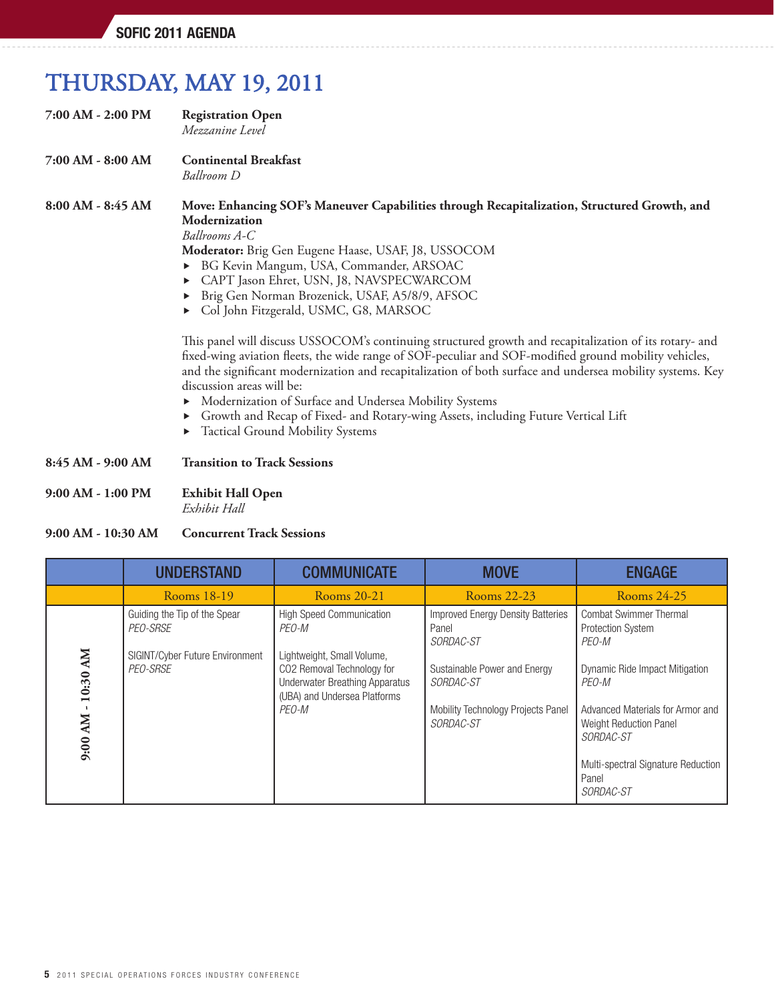# THURSDAY, MAY 19, 2011

- **7:00 AM 2:00 PM Registration Open**  *Mezzanine Level*
- **7:00 AM 8:00 AM Continental Breakfast**  *Ballroom D*

### **8:00 AM - 8:45 AM Move: Enhancing SOF's Maneuver Capabilities through Recapitalization, Structured Growth, and Modernization**

*Ballrooms A-C*

*Moderator: Brig Gen Eugene Haase, USAF, J8, USSOCOM* 

- BG Kevin Mangum, USA, Commander, ARSOAC
- CAPT Jason Ehret, USN, J8, NAVSPECWARCOM
- Brig Gen Norman Brozenick, USAF, A5/8/9, AFSOC
- Col John Fitzgerald, USMC, G8, MARSOC

This panel will discuss USSOCOM's continuing structured growth and recapitalization of its rotary- and fixed-wing aviation fleets, the wide range of SOF-peculiar and SOF-modified ground mobility vehicles, and the significant modernization and recapitalization of both surface and undersea mobility systems. Key discussion areas will be:

- Modernization of Surface and Undersea Mobility Systems
- Growth and Recap of Fixed- and Rotary-wing Assets, including Future Vertical Lift
- Tactical Ground Mobility Systems

**8:45 AM - 9:00 AM Transition to Track Sessions**

**9:00 AM - 1:00 PM Exhibit Hall Open** *Exhibit Hall*

#### **9:00 AM - 10:30 AM Concurrent Track Sessions**

|                                 | <b>UNDERSTAND</b>                           | <b>COMMUNICATE</b>                                                                                                                         | <b>MOVE</b>                                                                                         | <b>ENGAGE</b>                                                                                                |
|---------------------------------|---------------------------------------------|--------------------------------------------------------------------------------------------------------------------------------------------|-----------------------------------------------------------------------------------------------------|--------------------------------------------------------------------------------------------------------------|
|                                 | Rooms 18-19                                 | Rooms 20-21                                                                                                                                | Rooms 22-23                                                                                         | Rooms 24-25                                                                                                  |
|                                 | Guiding the Tip of the Spear<br>PEO-SRSE    | <b>High Speed Communication</b><br>PEO-M                                                                                                   | <b>Improved Energy Density Batteries</b><br>Panel<br><i>SORDAC-ST</i>                               | <b>Combat Swimmer Thermal</b><br><b>Protection System</b><br>PEO-M                                           |
| <b>NN</b><br>10:30<br><b>NN</b> | SIGINT/Cyber Future Environment<br>PEO-SRSE | Lightweight, Small Volume,<br>CO2 Removal Technology for<br><b>Underwater Breathing Apparatus</b><br>(UBA) and Undersea Platforms<br>PEO-M | Sustainable Power and Energy<br><i>SORDAC-ST</i><br>Mobility Technology Projects Panel<br>SORDAC-ST | Dynamic Ride Impact Mitigation<br>PEO-M<br>Advanced Materials for Armor and<br><b>Weight Reduction Panel</b> |
| 9:00                            |                                             |                                                                                                                                            |                                                                                                     | SORDAC-ST                                                                                                    |
|                                 |                                             |                                                                                                                                            |                                                                                                     | Multi-spectral Signature Reduction<br>Panel<br><i>SORDAC-ST</i>                                              |